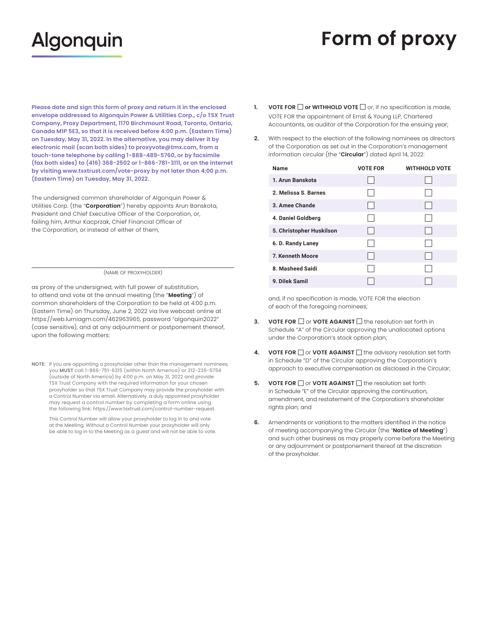## **Algonquin**

## **Form of proxy**

**Please date and sign this form of proxy and return it in the enclosed envelope addressed to Algonquin Power & Utilities Corp., c/o TSX Trust Company, Proxy Department, 1170 Birchmount Road, Toronto, Ontario, Canada M1P 5E3, so that it is received before 4:00 p.m. (Eastern Time) on Tuesday, May 31, 2022. In the alternative, you may deliver it by electronic mail (scan both sides) to [proxyvote@tmx.com](mailto:proxyvote@tmx.com), from a touch-tone telephone by calling 1-888-489-5760, or by facsimile (fax both sides) to (416) 368-2502 or 1-866-781-3111, or on the internet by visiting [www.tsxtrust.com/vote-proxy](http://www.tsxtrust.com/vote-proxy) by not later than 4:00 p.m. (Eastern Time) on Tuesday, May 31, 2022.** 

failing him, Arthur Kacprzak, Chief Financial Officer of The undersigned common shareholder of Algonquin Power & Utilities Corp. (the "**Corporation**") hereby appoints Arun Banskota, President and Chief Executive Officer of the Corporation, or, the Corporation, or instead of either of them,

## (NAME OF PROXYHOLDER)

 as proxy of the undersigned, with full power of substitution, to attend and vote at the annual meeting (the "Meeting") of common shareholders of the Corporation to be held at 4:00 p.m. (Eastern Time) on Thursday, June 2, 2022 via live webcast online at [https://web.lumiagm.com/462963965,](https://web.lumiagm.com/462963965) password "algonquin2022" (case sensitive), and at any adjournment or postponement thereof, upon the following matters:

TSX Trust Company with the required information for your chosen may request a control number by completing a form online using **NOTE:** If you are appointing a proxyholder other than the management nominees, you **MUST** call 1-866-751-6315 (within North America) or 212-235-5754 (outside of North America) by 4:00 p.m. on May 31, 2022 and provide proxyholder so that TSX Trust Company may provide the proxyholder with a Control Number via email. Alternatively, a duly appointed proxyholder the following link: [https://www.tsxtrust.com/control-number-request.](https://www.tsxtrust.com/control-number-request)

This Control Number will allow your proxyholder to log in to and vote at the Meeting. Without a Control Number your proxyholder will only be able to log in to the Meeting as a guest and will not be able to vote.

- **VOTE FOR**  $\Box$  **or WITHHOLD VOTE**  $\Box$  or, if no specification is made, VOTE FOR the appointment of Ernst & Young LLP, Chartered Accountants, as auditor of the Corporation for the ensuing year;
- $2.$ **2.** With respect to the election of the following nominees as directors of the Corporation as set out in the Corporation's management information circular (the "**Circular**") dated April 14, 2022:

| Name                     | <b>VOTE FOR</b> | <b>WITHHOLD VOTE</b> |
|--------------------------|-----------------|----------------------|
| 1. Arun Banskota         |                 |                      |
| 2. Melissa S. Barnes     |                 |                      |
| 3. Amee Chande           | $\sim$          |                      |
| 4. Daniel Goldberg       |                 |                      |
| 5. Christopher Huskilson |                 |                      |
| 6. D. Randy Laney        |                 |                      |
| 7. Kenneth Moore         | $\cdot$ .       |                      |
| 8. Masheed Saidi         |                 |                      |
| 9. Dilek Samil           |                 |                      |

and, if no specification is made, VOTE FOR the election<br>of each of the foregoing nominees;

- **3.** VOTE FOR  $\Box$  or VOTE AGAINST  $\Box$  the resolution set forth in Schedule "A" of the Circular approving the unallocated options under the Corporation's stock option plan;
- **4.** VOTE FOR  $\Box$  or VOTE AGAINST  $\Box$  the advisory resolution set forth in Schedule "D" of the Circular approving the Corporation's approach to executive compensation as disclosed in the Circular;
- **VOTE FOR**  $\Box$  or **VOTE AGAINST**  $\Box$  the resolution set forth in Schedule "E" of the Circular approving the continuation, amendment, and restatement of the Corporation's shareholder rights plan; and
- **6.** Amendments or variations to the matters identified in the notice of meeting accompanying the Circular (the "**Notice of Meeting**") and such other business as may properly come before the Meeting or any adjournment or postponement thereof at the discretion of the proxyholder.